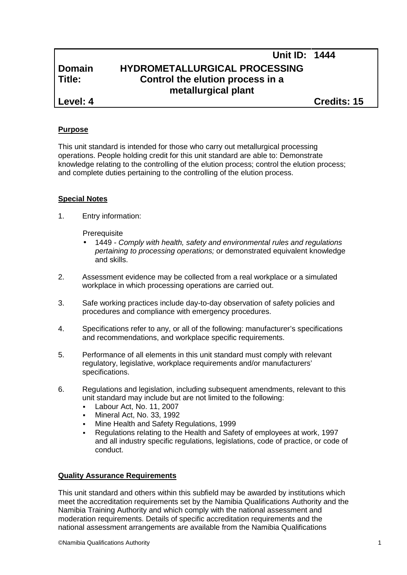# **Unit ID: 1444 Domain HYDROMETALLURGICAL PROCESSING Title: Control the elution process in a metallurgical plant**

**Level: 4 Credits: 15**

## **Purpose**

This unit standard is intended for those who carry out metallurgical processing operations. People holding credit for this unit standard are able to: Demonstrate knowledge relating to the controlling of the elution process; control the elution process; and complete duties pertaining to the controlling of the elution process.

### **Special Notes**

1. Entry information:

**Prerequisite** 

- 1449 *- Comply with health, safety and environmental rules and regulations pertaining to processing operations;* or demonstrated equivalent knowledge and skills.
- 2. Assessment evidence may be collected from a real workplace or a simulated workplace in which processing operations are carried out.
- 3. Safe working practices include day-to-day observation of safety policies and procedures and compliance with emergency procedures.
- 4. Specifications refer to any, or all of the following: manufacturer's specifications and recommendations, and workplace specific requirements.
- 5. Performance of all elements in this unit standard must comply with relevant regulatory, legislative, workplace requirements and/or manufacturers' specifications.
- 6. Regulations and legislation, including subsequent amendments, relevant to this unit standard may include but are not limited to the following:
	- Labour Act, No. 11, 2007
	- Mineral Act, No. 33, 1992
	- Mine Health and Safety Regulations, 1999
	- Regulations relating to the Health and Safety of employees at work, 1997 and all industry specific regulations, legislations, code of practice, or code of conduct.

#### **Quality Assurance Requirements**

This unit standard and others within this subfield may be awarded by institutions which meet the accreditation requirements set by the Namibia Qualifications Authority and the Namibia Training Authority and which comply with the national assessment and moderation requirements. Details of specific accreditation requirements and the national assessment arrangements are available from the Namibia Qualifications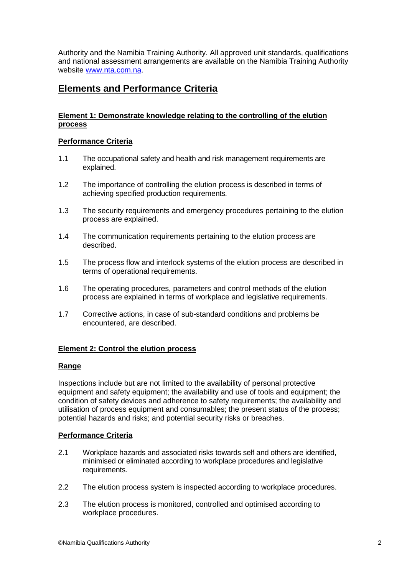Authority and the Namibia Training Authority. All approved unit standards, qualifications and national assessment arrangements are available on the Namibia Training Authority website www.nta.com.na.

## **Elements and Performance Criteria**

### **Element 1: Demonstrate knowledge relating to the controlling of the elution process**

#### **Performance Criteria**

- 1.1 The occupational safety and health and risk management requirements are explained.
- 1.2 The importance of controlling the elution process is described in terms of achieving specified production requirements.
- 1.3 The security requirements and emergency procedures pertaining to the elution process are explained.
- 1.4 The communication requirements pertaining to the elution process are described.
- 1.5 The process flow and interlock systems of the elution process are described in terms of operational requirements.
- 1.6 The operating procedures, parameters and control methods of the elution process are explained in terms of workplace and legislative requirements.
- 1.7 Corrective actions, in case of sub-standard conditions and problems be encountered, are described.

#### **Element 2: Control the elution process**

#### **Range**

Inspections include but are not limited to the availability of personal protective equipment and safety equipment; the availability and use of tools and equipment; the condition of safety devices and adherence to safety requirements; the availability and utilisation of process equipment and consumables; the present status of the process; potential hazards and risks; and potential security risks or breaches.

## **Performance Criteria**

- 2.1 Workplace hazards and associated risks towards self and others are identified, minimised or eliminated according to workplace procedures and legislative requirements.
- 2.2 The elution process system is inspected according to workplace procedures.
- 2.3 The elution process is monitored, controlled and optimised according to workplace procedures.